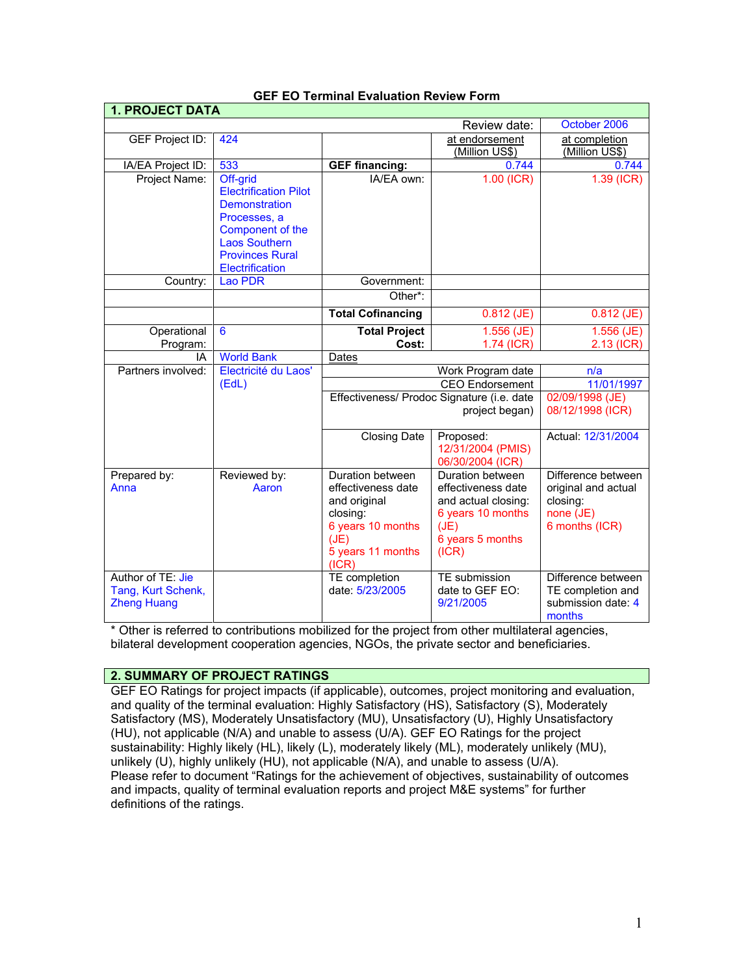| <b>1. PROJECT DATA</b> |                                          |                                            |                           |                     |
|------------------------|------------------------------------------|--------------------------------------------|---------------------------|---------------------|
|                        |                                          |                                            | Review date:              | October 2006        |
| <b>GEF Project ID:</b> | 424                                      |                                            | at endorsement            | at completion       |
|                        |                                          |                                            | (Million US\$)            | (Million US\$)      |
| IA/EA Project ID:      | 533                                      | <b>GEF</b> financing:                      | 0.744                     | 0.744               |
| Project Name:          | Off-grid                                 | IA/EA own:                                 | $1.00$ (ICR)              | $1.39$ (ICR)        |
|                        | <b>Electrification Pilot</b>             |                                            |                           |                     |
|                        | <b>Demonstration</b>                     |                                            |                           |                     |
|                        | Processes, a                             |                                            |                           |                     |
|                        | Component of the                         |                                            |                           |                     |
|                        | <b>Laos Southern</b>                     |                                            |                           |                     |
|                        | <b>Provinces Rural</b>                   |                                            |                           |                     |
|                        | <b>Electrification</b><br><b>Lao PDR</b> |                                            |                           |                     |
| Country:               |                                          | Government:                                |                           |                     |
|                        |                                          | Other*:                                    |                           |                     |
|                        |                                          | <b>Total Cofinancing</b>                   | $0.812$ (JE)              | $0.812$ (JE)        |
| Operational            | $6\phantom{1}6$                          | <b>Total Project</b>                       | $1.556$ (JE)              | $1.556$ (JE)        |
| Program:               |                                          | Cost:                                      | 1.74 (ICR)                | 2.13 (ICR)          |
| IA                     | <b>World Bank</b>                        | Dates                                      |                           |                     |
| Partners involved:     | Electricité du Laos'                     | Work Program date                          |                           | n/a                 |
|                        | (EdL)                                    | <b>CEO</b> Endorsement                     |                           | 11/01/1997          |
|                        |                                          | Effectiveness/ Prodoc Signature (i.e. date |                           | 02/09/1998 (JE)     |
|                        |                                          | project began)                             |                           | 08/12/1998 (ICR)    |
|                        |                                          | <b>Closing Date</b>                        | Proposed:                 | Actual: 12/31/2004  |
|                        |                                          |                                            | 12/31/2004 (PMIS)         |                     |
|                        |                                          |                                            | 06/30/2004 (ICR)          |                     |
| Prepared by:           | Reviewed by:                             | Duration between                           | Duration between          | Difference between  |
| Anna                   | Aaron                                    | effectiveness date                         | effectiveness date        | original and actual |
|                        |                                          | and original                               | and actual closing:       | closing:            |
|                        |                                          | closing:                                   | 6 years 10 months         | none (JE)           |
|                        |                                          | 6 years 10 months                          | (JE)                      | 6 months (ICR)      |
|                        |                                          | (JE)<br>5 years 11 months                  | 6 years 5 months<br>(ICR) |                     |
|                        |                                          | (ICR)                                      |                           |                     |
| Author of TE: Jie      |                                          | TE completion                              | TE submission             | Difference between  |
| Tang, Kurt Schenk,     |                                          | date: 5/23/2005                            | date to GEF EO:           | TE completion and   |
| <b>Zheng Huang</b>     |                                          |                                            | 9/21/2005                 | submission date: 4  |
|                        |                                          |                                            |                           | months              |

## **GEF EO Terminal Evaluation Review Form**

\* Other is referred to contributions mobilized for the project from other multilateral agencies, bilateral development cooperation agencies, NGOs, the private sector and beneficiaries.

## **2. SUMMARY OF PROJECT RATINGS**

GEF EO Ratings for project impacts (if applicable), outcomes, project monitoring and evaluation, and quality of the terminal evaluation: Highly Satisfactory (HS), Satisfactory (S), Moderately Satisfactory (MS), Moderately Unsatisfactory (MU), Unsatisfactory (U), Highly Unsatisfactory (HU), not applicable (N/A) and unable to assess (U/A). GEF EO Ratings for the project sustainability: Highly likely (HL), likely (L), moderately likely (ML), moderately unlikely (MU), unlikely (U), highly unlikely (HU), not applicable (N/A), and unable to assess (U/A). Please refer to document "Ratings for the achievement of objectives, sustainability of outcomes and impacts, quality of terminal evaluation reports and project M&E systems" for further definitions of the ratings.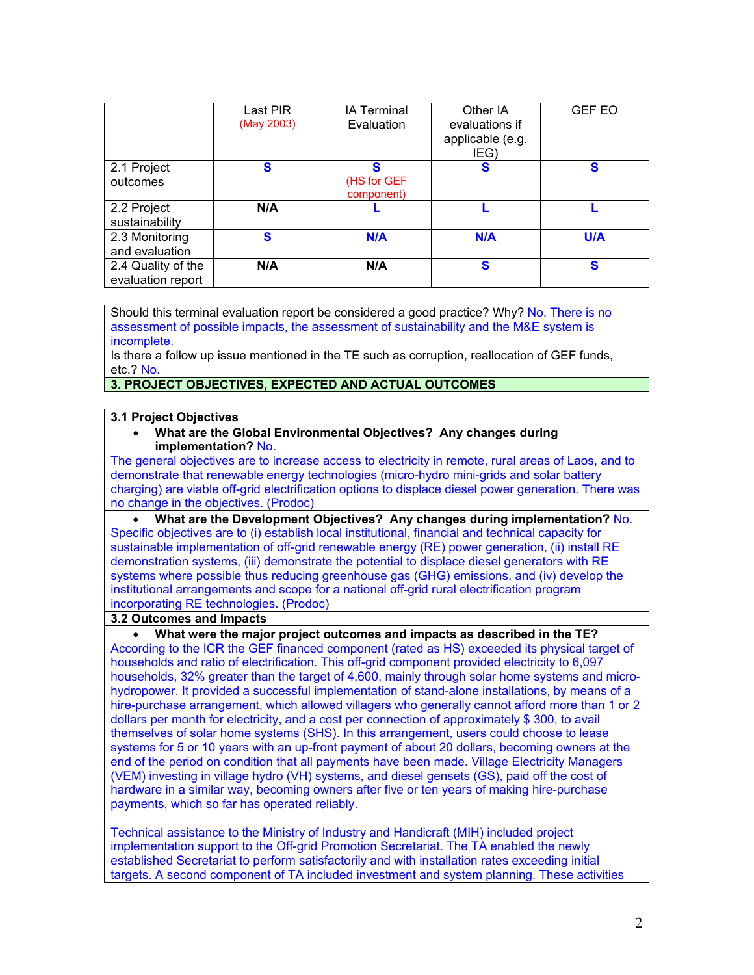|                                         | Last PIR<br>(May 2003) | <b>IA Terminal</b><br>Evaluation | Other IA<br>evaluations if<br>applicable (e.g.<br>IEG) | <b>GEF EO</b> |
|-----------------------------------------|------------------------|----------------------------------|--------------------------------------------------------|---------------|
| 2.1 Project<br>outcomes                 | S                      | S<br>(HS for GEF<br>component)   | S                                                      | S             |
| 2.2 Project<br>sustainability           | N/A                    |                                  |                                                        |               |
| 2.3 Monitoring<br>and evaluation        | S                      | <b>N/A</b>                       | N/A                                                    | <b>U/A</b>    |
| 2.4 Quality of the<br>evaluation report | N/A                    | N/A                              | S                                                      | S             |

Should this terminal evaluation report be considered a good practice? Why? No. There is no assessment of possible impacts, the assessment of sustainability and the M&E system is incomplete.

Is there a follow up issue mentioned in the TE such as corruption, reallocation of GEF funds, etc.? No.

## **3. PROJECT OBJECTIVES, EXPECTED AND ACTUAL OUTCOMES**

#### **3.1 Project Objectives**

• **What are the Global Environmental Objectives? Any changes during implementation?** No.

The general objectives are to increase access to electricity in remote, rural areas of Laos, and to demonstrate that renewable energy technologies (micro-hydro mini-grids and solar battery charging) are viable off-grid electrification options to displace diesel power generation. There was no change in the objectives. (Prodoc)

• **What are the Development Objectives? Any changes during implementation?** No. Specific objectives are to (i) establish local institutional, financial and technical capacity for sustainable implementation of off-grid renewable energy (RE) power generation, (ii) install RE demonstration systems, (iii) demonstrate the potential to displace diesel generators with RE systems where possible thus reducing greenhouse gas (GHG) emissions, and (iv) develop the institutional arrangements and scope for a national off-grid rural electrification program incorporating RE technologies. (Prodoc)

#### **3.2 Outcomes and Impacts**

• **What were the major project outcomes and impacts as described in the TE?** According to the ICR the GEF financed component (rated as HS) exceeded its physical target of households and ratio of electrification. This off-grid component provided electricity to 6,097 households, 32% greater than the target of 4,600, mainly through solar home systems and microhydropower. It provided a successful implementation of stand-alone installations, by means of a hire-purchase arrangement, which allowed villagers who generally cannot afford more than 1 or 2 dollars per month for electricity, and a cost per connection of approximately \$ 300, to avail themselves of solar home systems (SHS). In this arrangement, users could choose to lease systems for 5 or 10 years with an up-front payment of about 20 dollars, becoming owners at the end of the period on condition that all payments have been made. Village Electricity Managers (VEM) investing in village hydro (VH) systems, and diesel gensets (GS), paid off the cost of hardware in a similar way, becoming owners after five or ten years of making hire-purchase payments, which so far has operated reliably.

Technical assistance to the Ministry of Industry and Handicraft (MIH) included project implementation support to the Off-grid Promotion Secretariat. The TA enabled the newly established Secretariat to perform satisfactorily and with installation rates exceeding initial targets. A second component of TA included investment and system planning. These activities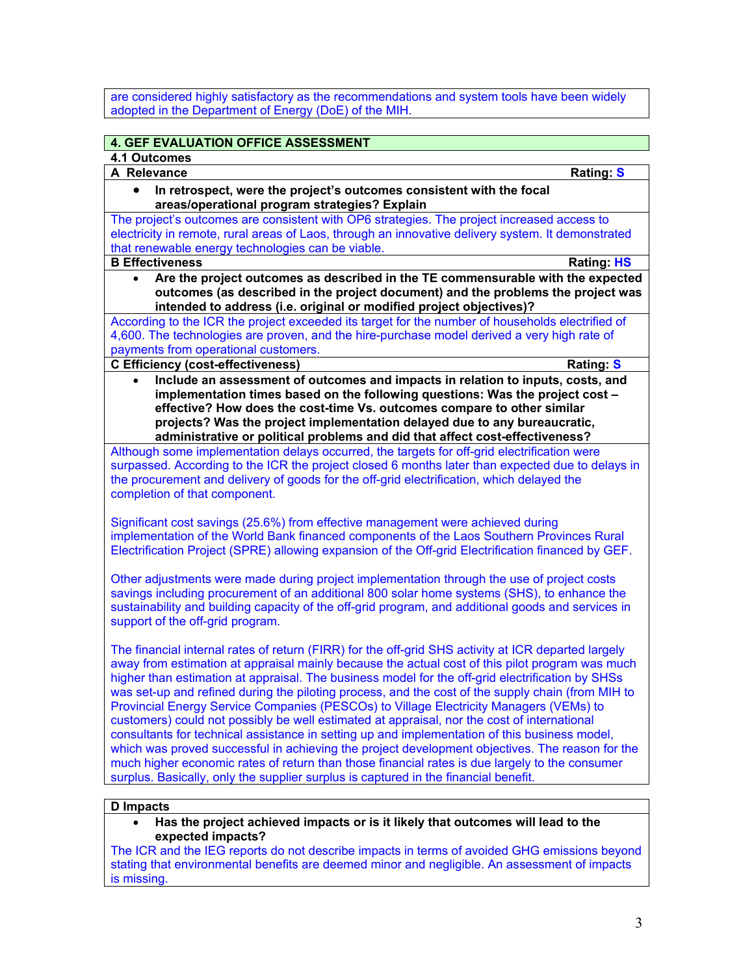are considered highly satisfactory as the recommendations and system tools have been widely adopted in the Department of Energy (DoE) of the MIH.

# **4. GEF EVALUATION OFFICE ASSESSMENT**

**4.1 Outcomes** 

**A Relevance Rating: S**

#### • **In retrospect, were the project's outcomes consistent with the focal areas/operational program strategies? Explain**

The project's outcomes are consistent with OP6 strategies. The project increased access to electricity in remote, rural areas of Laos, through an innovative delivery system. It demonstrated that renewable energy technologies can be viable. **B Effectiveness Rating: HS**

- 
- **Are the project outcomes as described in the TE commensurable with the expected outcomes (as described in the project document) and the problems the project was intended to address (i.e. original or modified project objectives)?**

According to the ICR the project exceeded its target for the number of households electrified of 4,600. The technologies are proven, and the hire-purchase model derived a very high rate of payments from operational customers.

### **C Efficiency (cost-effectiveness) Rating: S**

• **Include an assessment of outcomes and impacts in relation to inputs, costs, and implementation times based on the following questions: Was the project cost – effective? How does the cost-time Vs. outcomes compare to other similar projects? Was the project implementation delayed due to any bureaucratic, administrative or political problems and did that affect cost-effectiveness?**

Although some implementation delays occurred, the targets for off-grid electrification were surpassed. According to the ICR the project closed 6 months later than expected due to delays in the procurement and delivery of goods for the off-grid electrification, which delayed the completion of that component.

Significant cost savings (25.6%) from effective management were achieved during implementation of the World Bank financed components of the Laos Southern Provinces Rural Electrification Project (SPRE) allowing expansion of the Off-grid Electrification financed by GEF.

Other adjustments were made during project implementation through the use of project costs savings including procurement of an additional 800 solar home systems (SHS), to enhance the sustainability and building capacity of the off-grid program, and additional goods and services in support of the off-grid program.

The financial internal rates of return (FIRR) for the off-grid SHS activity at ICR departed largely away from estimation at appraisal mainly because the actual cost of this pilot program was much higher than estimation at appraisal. The business model for the off-grid electrification by SHSs was set-up and refined during the piloting process, and the cost of the supply chain (from MIH to Provincial Energy Service Companies (PESCOs) to Village Electricity Managers (VEMs) to customers) could not possibly be well estimated at appraisal, nor the cost of international consultants for technical assistance in setting up and implementation of this business model, which was proved successful in achieving the project development objectives. The reason for the much higher economic rates of return than those financial rates is due largely to the consumer surplus. Basically, only the supplier surplus is captured in the financial benefit.

### **D Impacts**

• **Has the project achieved impacts or is it likely that outcomes will lead to the expected impacts?** 

The ICR and the IEG reports do not describe impacts in terms of avoided GHG emissions beyond stating that environmental benefits are deemed minor and negligible. An assessment of impacts is missing.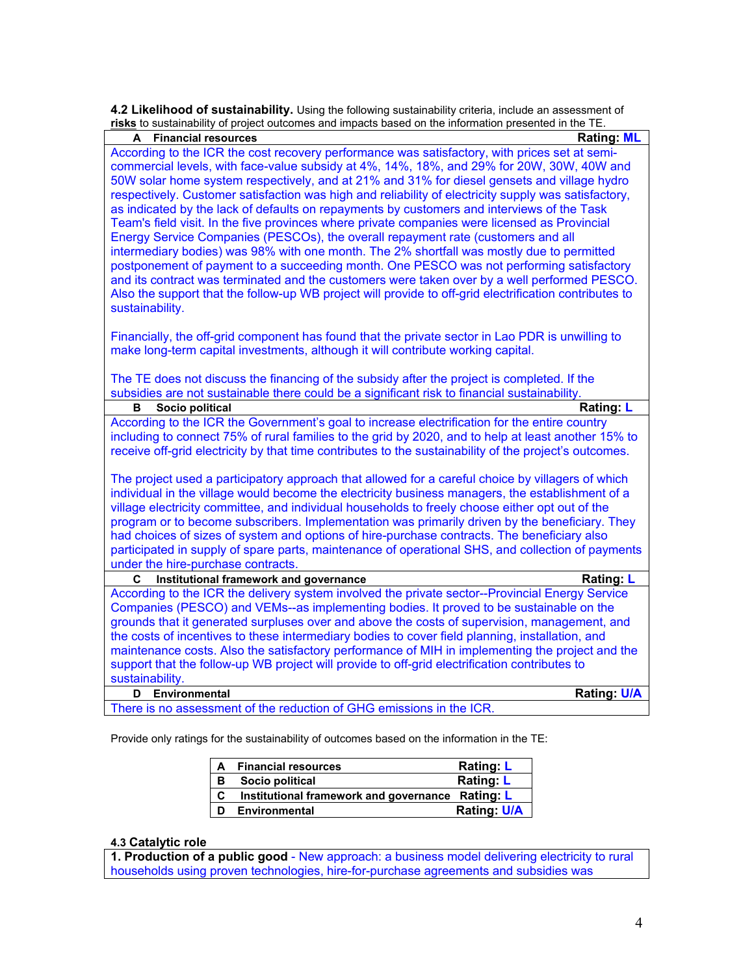**4.2 Likelihood of sustainability.** Using the following sustainability criteria, include an assessment of

| risks to sustainability of project outcomes and impacts based on the information presented in the TE.  |                    |
|--------------------------------------------------------------------------------------------------------|--------------------|
| <b>Financial resources</b><br>A                                                                        | <b>Rating: ML</b>  |
| According to the ICR the cost recovery performance was satisfactory, with prices set at semi-          |                    |
| commercial levels, with face-value subsidy at 4%, 14%, 18%, and 29% for 20W, 30W, 40W and              |                    |
| 50W solar home system respectively, and at 21% and 31% for diesel gensets and village hydro            |                    |
| respectively. Customer satisfaction was high and reliability of electricity supply was satisfactory,   |                    |
| as indicated by the lack of defaults on repayments by customers and interviews of the Task             |                    |
| Team's field visit. In the five provinces where private companies were licensed as Provincial          |                    |
| Energy Service Companies (PESCOs), the overall repayment rate (customers and all                       |                    |
| intermediary bodies) was 98% with one month. The 2% shortfall was mostly due to permitted              |                    |
| postponement of payment to a succeeding month. One PESCO was not performing satisfactory               |                    |
| and its contract was terminated and the customers were taken over by a well performed PESCO.           |                    |
| Also the support that the follow-up WB project will provide to off-grid electrification contributes to |                    |
| sustainability.                                                                                        |                    |
|                                                                                                        |                    |
| Financially, the off-grid component has found that the private sector in Lao PDR is unwilling to       |                    |
| make long-term capital investments, although it will contribute working capital.                       |                    |
|                                                                                                        |                    |
| The TE does not discuss the financing of the subsidy after the project is completed. If the            |                    |
| subsidies are not sustainable there could be a significant risk to financial sustainability.           |                    |
| Socio political<br>в                                                                                   | Rating: L          |
| According to the ICR the Government's goal to increase electrification for the entire country          |                    |
| including to connect 75% of rural families to the grid by 2020, and to help at least another 15% to    |                    |
| receive off-grid electricity by that time contributes to the sustainability of the project's outcomes. |                    |
|                                                                                                        |                    |
| The project used a participatory approach that allowed for a careful choice by villagers of which      |                    |
| individual in the village would become the electricity business managers, the establishment of a       |                    |
| village electricity committee, and individual households to freely choose either opt out of the        |                    |
| program or to become subscribers. Implementation was primarily driven by the beneficiary. They         |                    |
| had choices of sizes of system and options of hire-purchase contracts. The beneficiary also            |                    |
| participated in supply of spare parts, maintenance of operational SHS, and collection of payments      |                    |
| under the hire-purchase contracts.                                                                     |                    |
| Institutional framework and governance<br>C                                                            | <b>Rating: L</b>   |
| According to the ICR the delivery system involved the private sector--Provincial Energy Service        |                    |
| Companies (PESCO) and VEMs--as implementing bodies. It proved to be sustainable on the                 |                    |
| grounds that it generated surpluses over and above the costs of supervision, management, and           |                    |
| the costs of incentives to these intermediary bodies to cover field planning, installation, and        |                    |
| maintenance costs. Also the satisfactory performance of MIH in implementing the project and the        |                    |
| support that the follow-up WB project will provide to off-grid electrification contributes to          |                    |
| sustainability.                                                                                        |                    |
| Environmental<br>D                                                                                     | <b>Rating: U/A</b> |
| There is no assessment of the reduction of GHG emissions in the ICR.                                   |                    |

Provide only ratings for the sustainability of outcomes based on the information in the TE:

| A | <b>Financial resources</b>                       | <b>Rating: L</b>  |
|---|--------------------------------------------------|-------------------|
| в | Socio political                                  | <b>Rating: L</b>  |
| C | Institutional framework and governance Rating: L |                   |
|   | <b>Environmental</b>                             | <b>Rating U/A</b> |

## **4.3 Catalytic role**

**1. Production of a public good** - New approach: a business model delivering electricity to rural households using proven technologies, hire-for-purchase agreements and subsidies was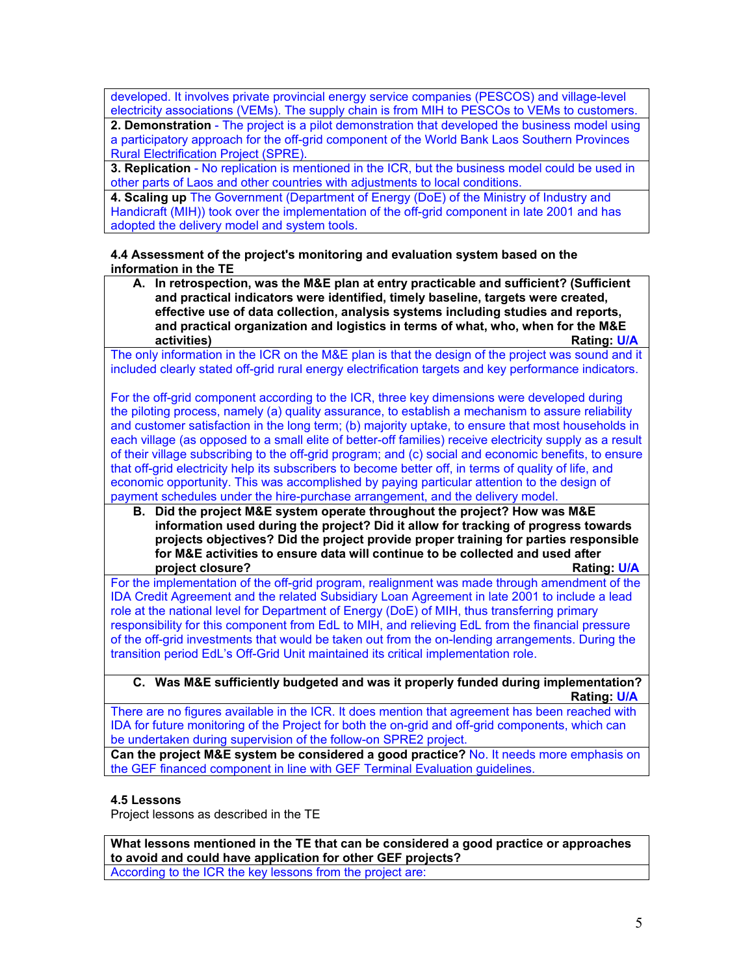developed. It involves private provincial energy service companies (PESCOS) and village-level electricity associations (VEMs). The supply chain is from MIH to PESCOs to VEMs to customers.

**2. Demonstration** - The project is a pilot demonstration that developed the business model using a participatory approach for the off-grid component of the World Bank Laos Southern Provinces Rural Electrification Project (SPRE).

**3. Replication** - No replication is mentioned in the ICR, but the business model could be used in other parts of Laos and other countries with adjustments to local conditions.

**4. Scaling up** The Government (Department of Energy (DoE) of the Ministry of Industry and Handicraft (MIH)) took over the implementation of the off-grid component in late 2001 and has adopted the delivery model and system tools.

**4.4 Assessment of the project's monitoring and evaluation system based on the information in the TE** 

**A. In retrospection, was the M&E plan at entry practicable and sufficient? (Sufficient and practical indicators were identified, timely baseline, targets were created, effective use of data collection, analysis systems including studies and reports, and practical organization and logistics in terms of what, who, when for the M&E activities) Rating: U/A**

The only information in the ICR on the M&E plan is that the design of the project was sound and it included clearly stated off-grid rural energy electrification targets and key performance indicators.

For the off-grid component according to the ICR, three key dimensions were developed during the piloting process, namely (a) quality assurance, to establish a mechanism to assure reliability and customer satisfaction in the long term; (b) majority uptake, to ensure that most households in each village (as opposed to a small elite of better-off families) receive electricity supply as a result of their village subscribing to the off-grid program; and (c) social and economic benefits, to ensure that off-grid electricity help its subscribers to become better off, in terms of quality of life, and economic opportunity. This was accomplished by paying particular attention to the design of payment schedules under the hire-purchase arrangement, and the delivery model.

**B. Did the project M&E system operate throughout the project? How was M&E information used during the project? Did it allow for tracking of progress towards projects objectives? Did the project provide proper training for parties responsible for M&E activities to ensure data will continue to be collected and used after project closure? Rating: U/A**

For the implementation of the off-grid program, realignment was made through amendment of the IDA Credit Agreement and the related Subsidiary Loan Agreement in late 2001 to include a lead role at the national level for Department of Energy (DoE) of MIH, thus transferring primary responsibility for this component from EdL to MIH, and relieving EdL from the financial pressure of the off-grid investments that would be taken out from the on-lending arrangements. During the transition period EdL's Off-Grid Unit maintained its critical implementation role.

**C. Was M&E sufficiently budgeted and was it properly funded during implementation? Rating: U/A**

There are no figures available in the ICR. It does mention that agreement has been reached with IDA for future monitoring of the Project for both the on-grid and off-grid components, which can be undertaken during supervision of the follow-on SPRE2 project.

**Can the project M&E system be considered a good practice?** No. It needs more emphasis on the GEF financed component in line with GEF Terminal Evaluation guidelines.

## **4.5 Lessons**

Project lessons as described in the TE

**What lessons mentioned in the TE that can be considered a good practice or approaches to avoid and could have application for other GEF projects?** According to the ICR the key lessons from the project are: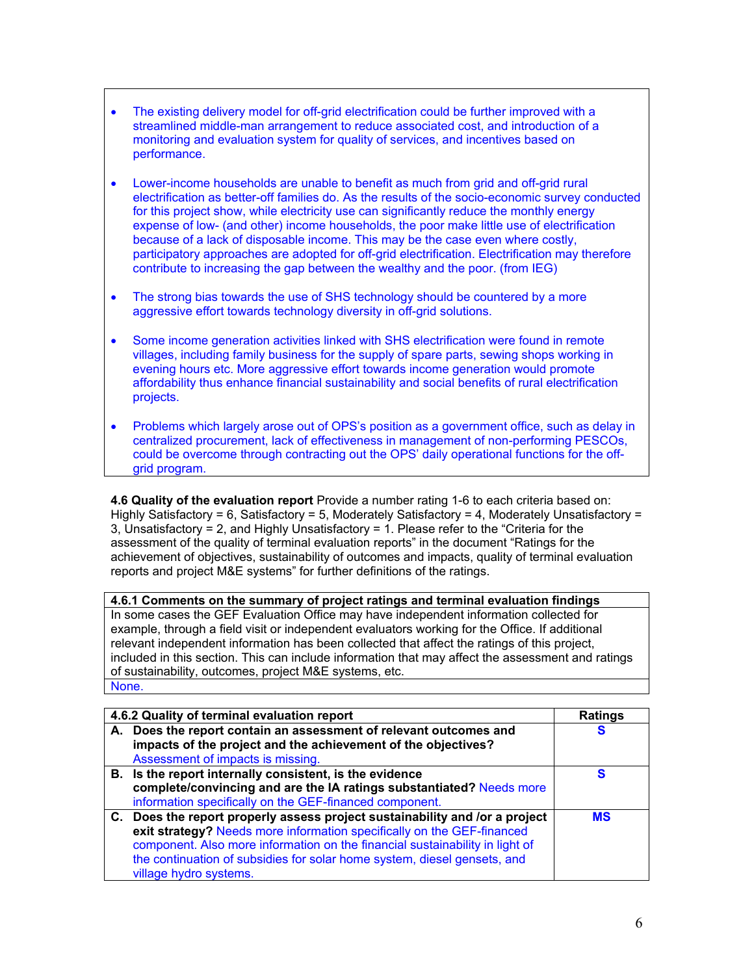- The existing delivery model for off-grid electrification could be further improved with a streamlined middle-man arrangement to reduce associated cost, and introduction of a monitoring and evaluation system for quality of services, and incentives based on performance.
- Lower-income households are unable to benefit as much from grid and off-grid rural electrification as better-off families do. As the results of the socio-economic survey conducted for this project show, while electricity use can significantly reduce the monthly energy expense of low- (and other) income households, the poor make little use of electrification because of a lack of disposable income. This may be the case even where costly, participatory approaches are adopted for off-grid electrification. Electrification may therefore contribute to increasing the gap between the wealthy and the poor. (from IEG)
- The strong bias towards the use of SHS technology should be countered by a more aggressive effort towards technology diversity in off-grid solutions.
- Some income generation activities linked with SHS electrification were found in remote villages, including family business for the supply of spare parts, sewing shops working in evening hours etc. More aggressive effort towards income generation would promote affordability thus enhance financial sustainability and social benefits of rural electrification projects.
- Problems which largely arose out of OPS's position as a government office, such as delay in centralized procurement, lack of effectiveness in management of non-performing PESCOs, could be overcome through contracting out the OPS' daily operational functions for the offgrid program.

**4.6 Quality of the evaluation report** Provide a number rating 1-6 to each criteria based on: Highly Satisfactory = 6, Satisfactory = 5, Moderately Satisfactory = 4, Moderately Unsatisfactory = 3, Unsatisfactory = 2, and Highly Unsatisfactory = 1. Please refer to the "Criteria for the assessment of the quality of terminal evaluation reports" in the document "Ratings for the achievement of objectives, sustainability of outcomes and impacts, quality of terminal evaluation reports and project M&E systems" for further definitions of the ratings.

**4.6.1 Comments on the summary of project ratings and terminal evaluation findings** In some cases the GEF Evaluation Office may have independent information collected for example, through a field visit or independent evaluators working for the Office. If additional relevant independent information has been collected that affect the ratings of this project, included in this section. This can include information that may affect the assessment and ratings of sustainability, outcomes, project M&E systems, etc. None.

| 4.6.2 Quality of terminal evaluation report                                                                                                                                                                                                                                                                                                 | <b>Ratings</b> |
|---------------------------------------------------------------------------------------------------------------------------------------------------------------------------------------------------------------------------------------------------------------------------------------------------------------------------------------------|----------------|
| A. Does the report contain an assessment of relevant outcomes and<br>impacts of the project and the achievement of the objectives?<br>Assessment of impacts is missing.                                                                                                                                                                     | S              |
| B. Is the report internally consistent, is the evidence<br>complete/convincing and are the IA ratings substantiated? Needs more<br>information specifically on the GEF-financed component.                                                                                                                                                  | S              |
| C. Does the report properly assess project sustainability and /or a project<br>exit strategy? Needs more information specifically on the GEF-financed<br>component. Also more information on the financial sustainability in light of<br>the continuation of subsidies for solar home system, diesel gensets, and<br>village hydro systems. | <b>MS</b>      |